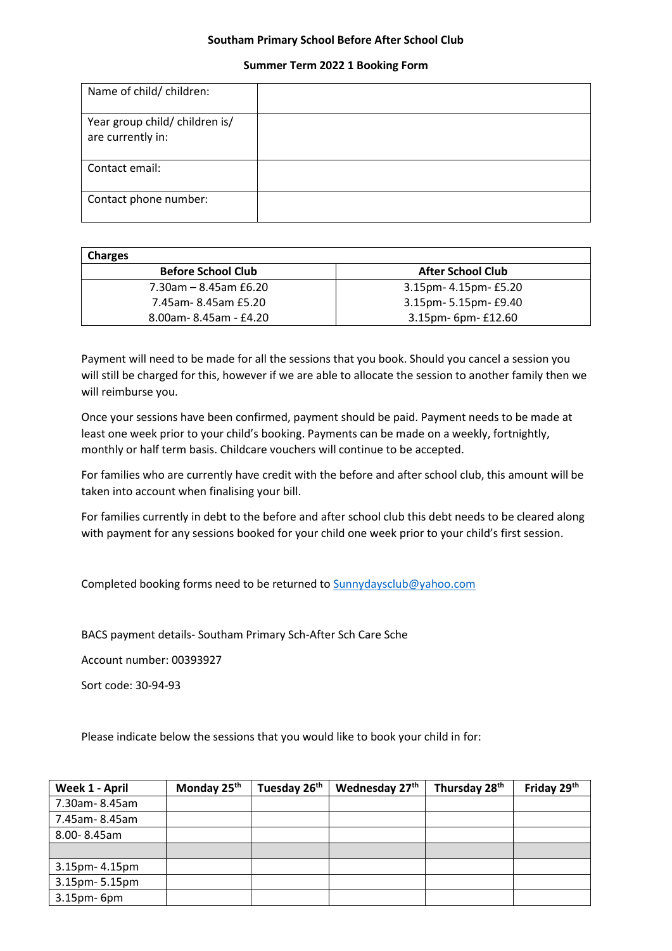## **Southam Primary School Before After School Club**

## **Summer Term 2022 1 Booking Form**

| Name of child/ children:                            |  |
|-----------------------------------------------------|--|
| Year group child/ children is/<br>are currently in: |  |
| Contact email:                                      |  |
| Contact phone number:                               |  |

| <b>Charges</b>            |                          |
|---------------------------|--------------------------|
| <b>Before School Club</b> | <b>After School Club</b> |
| 7.30am – 8.45am £6.20     | 3.15pm- 4.15pm- £5.20    |
| 7.45am-8.45am £5.20       | 3.15pm- 5.15pm- £9.40    |
| 8.00am-8.45am - £4.20     | 3.15pm- 6pm- £12.60      |

Payment will need to be made for all the sessions that you book. Should you cancel a session you will still be charged for this, however if we are able to allocate the session to another family then we will reimburse you.

Once your sessions have been confirmed, payment should be paid. Payment needs to be made at least one week prior to your child's booking. Payments can be made on a weekly, fortnightly, monthly or half term basis. Childcare vouchers will continue to be accepted.

For families who are currently have credit with the before and after school club, this amount will be taken into account when finalising your bill.

For families currently in debt to the before and after school club this debt needs to be cleared along with payment for any sessions booked for your child one week prior to your child's first session.

Completed booking forms need to be returned to [Sunnydaysclub@yahoo.com](mailto:Sunnydaysclub@yahoo.com)

BACS payment details- Southam Primary Sch-After Sch Care Sche

Account number: 00393927

Sort code: 30-94-93

Please indicate below the sessions that you would like to book your child in for:

| Week 1 - April | Monday 25 <sup>th</sup> | Tuesday 26 <sup>th</sup> | Wednesday 27th | Thursday 28th | Friday 29th |
|----------------|-------------------------|--------------------------|----------------|---------------|-------------|
| 7.30am-8.45am  |                         |                          |                |               |             |
| 7.45am-8.45am  |                         |                          |                |               |             |
| 8.00-8.45am    |                         |                          |                |               |             |
|                |                         |                          |                |               |             |
| 3.15pm- 4.15pm |                         |                          |                |               |             |
| 3.15pm-5.15pm  |                         |                          |                |               |             |
| 3.15pm-6pm     |                         |                          |                |               |             |